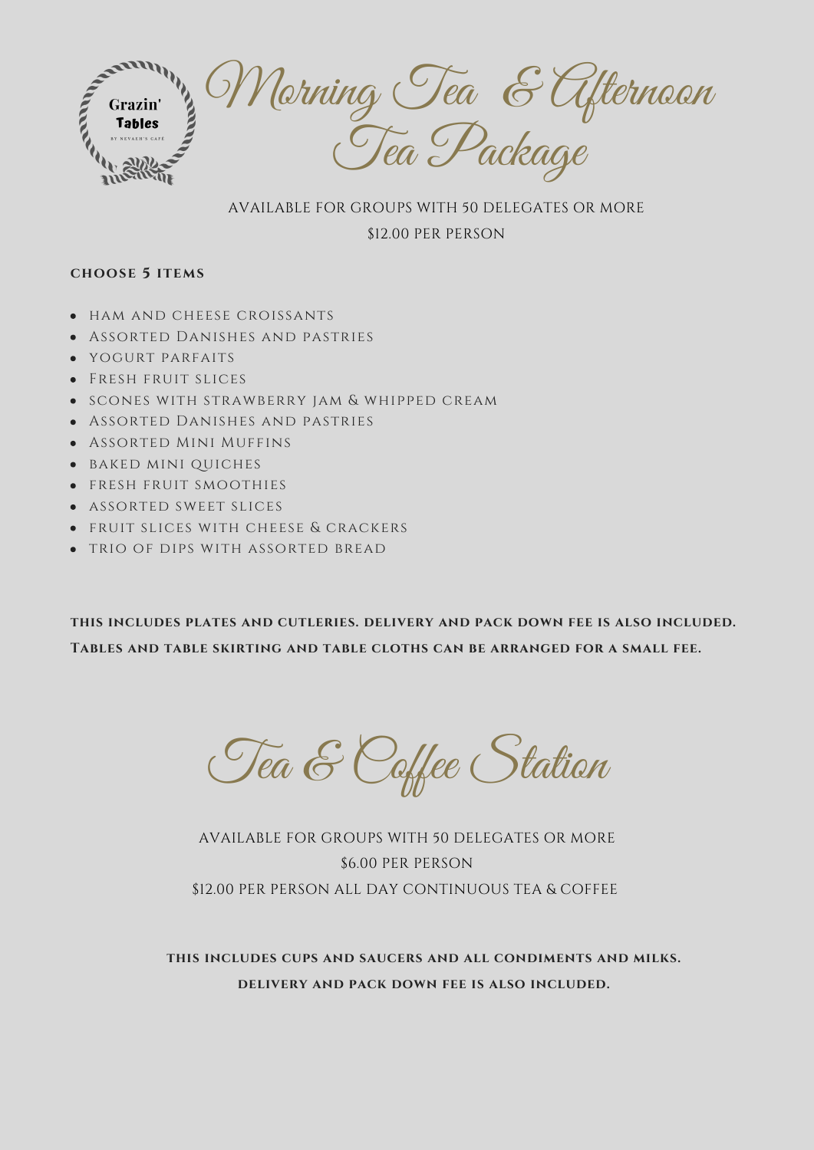

#### AVAILABLE FOR GROUPS WITH 50 DELEGATES OR MORE

### \$12.00 PER PERSON

#### **choose 5 items**

- HAM AND CHEESE CROISSANTS
- Assorted Danishes and pastries  $\bullet$
- yogurt parfaits  $\bullet$
- Fresh fruit slices  $\bullet$
- scones with strawberry jam & whipped cream  $\bullet$
- Assorted Danishes and pastries  $\bullet$
- Assorted Mini Muffins  $\bullet$
- baked mini quiches  $\bullet$
- fresh fruit smoothies  $\bullet$
- assorted sweet slices  $\bullet$
- fruit slices with cheese & crackers  $\bullet$
- trio of dips with assorted bread  $\bullet$

**this includes plates and cutleries. delivery and pack down fee is also included. Tables and table skirting and table cloths can be arranged for a small fee.**

Tea & Caffee Station

# AVAILABLE FOR GROUPS WITH 50 DELEGATES OR MORE \$6.00 PER PERSON \$12.00 PER PERSON ALL DAY CONTINUOUS TEA & COFFEE

**this includes cups and saucers and all condiments and milks. delivery and pack down fee is also included.**